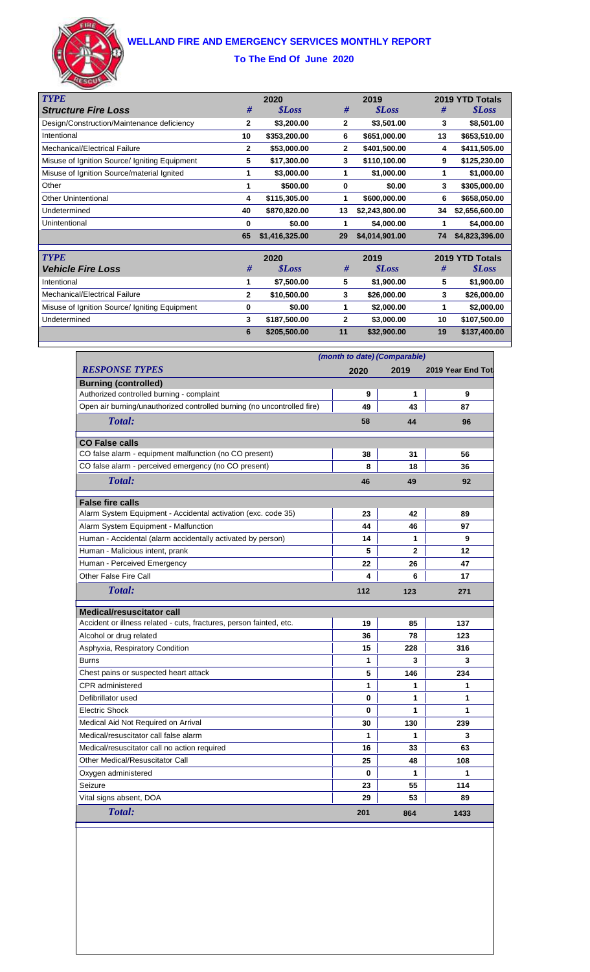# **WELLAND FIRE AND EMERGENCY SERVICES MONTHLY REPORT**



#### **To The End Of June 2020**

| <b>TYPE</b>                                   | 2020           |                     |              | 2019                 |    | 2019 YTD Totals     |  |
|-----------------------------------------------|----------------|---------------------|--------------|----------------------|----|---------------------|--|
| <b>Structure Fire Loss</b>                    | #              | <i><b>SLoss</b></i> | #            | <i><b>\$Loss</b></i> | #  | <i><b>SLoss</b></i> |  |
| Design/Construction/Maintenance deficiency    | 2              | \$3,200.00          | $\mathbf{2}$ | \$3,501.00           | 3  | \$8,501.00          |  |
| Intentional                                   | 10             | \$353,200.00        | 6            | \$651,000.00         | 13 | \$653,510.00        |  |
| Mechanical/Electrical Failure                 | $\mathbf{2}$   | \$53,000.00         | $\mathbf{2}$ | \$401,500.00         | 4  | \$411,505.00        |  |
| Misuse of Ignition Source/ Igniting Equipment | 5              | \$17,300.00         | 3            | \$110,100.00         | 9  | \$125,230.00        |  |
| Misuse of Ignition Source/material Ignited    | 1              | \$3,000.00          | 1            | \$1,000.00           | 1  | \$1,000.00          |  |
| Other                                         | 1              | \$500.00            | 0            | \$0.00               | 3  | \$305,000.00        |  |
| <b>Other Unintentional</b>                    | 4              | \$115,305.00        | 1            | \$600,000.00         | 6  | \$658,050.00        |  |
| Undetermined                                  | 40             | \$870,820.00        | 13           | \$2,243,800.00       | 34 | \$2,656,600.00      |  |
| Unintentional                                 | 0              | \$0.00              | 1            | \$4,000.00           | 1  | \$4,000.00          |  |
|                                               | 65             | \$1,416,325.00      | 29           | \$4,014,901.00       | 74 | \$4,823,396.00      |  |
| <b>TYPE</b>                                   | 2020           |                     |              | 2019                 |    | 2019 YTD Totals     |  |
| <b>Vehicle Fire Loss</b>                      | #              | <i><b>SLoss</b></i> | #            | <i><b>SLoss</b></i>  | #  | <i><b>SLoss</b></i> |  |
| Intentional                                   | 1              | \$7,500.00          | 5            | \$1,900.00           | 5  | \$1,900.00          |  |
| Mechanical/Electrical Failure                 | $\overline{2}$ | \$10,500.00         | 3            | \$26,000.00          | 3  | \$26,000.00         |  |
| Misuse of Ignition Source/ Igniting Equipment | 0              | \$0.00              | 1            | \$2,000.00           | 1  | \$2,000.00          |  |
| Undetermined                                  | 3              | \$187,500.00        | $\mathbf{2}$ | \$3,000.00           | 10 | \$107,500.00        |  |
|                                               | 6              | \$205,500.00        | 11           | \$32,900.00          | 19 | \$137,400.00        |  |

|                                                                         | (month to date) (Comparable) |                |                    |  |
|-------------------------------------------------------------------------|------------------------------|----------------|--------------------|--|
| <b>RESPONSE TYPES</b>                                                   | 2020                         | 2019           | 2019 Year End Tota |  |
| <b>Burning (controlled)</b>                                             |                              |                |                    |  |
| Authorized controlled burning - complaint                               | 9                            | 1              | 9                  |  |
| Open air burning/unauthorized controlled burning (no uncontrolled fire) | 49                           | 43             | 87                 |  |
| Total:                                                                  | 58                           | 44             | 96                 |  |
| <b>CO False calls</b>                                                   |                              |                |                    |  |
| CO false alarm - equipment malfunction (no CO present)                  | 38                           | 31             | 56                 |  |
| CO false alarm - perceived emergency (no CO present)                    | 8                            | 18             | 36                 |  |
| Total:                                                                  | 46                           | 49             | 92                 |  |
| <b>False fire calls</b>                                                 |                              |                |                    |  |
| Alarm System Equipment - Accidental activation (exc. code 35)           | 23                           | 42             | 89                 |  |
| Alarm System Equipment - Malfunction                                    | 44                           | 46             | 97                 |  |
| Human - Accidental (alarm accidentally activated by person)             | 14                           | 1              | 9                  |  |
| Human - Malicious intent, prank                                         | 5                            | $\overline{2}$ | 12                 |  |
| Human - Perceived Emergency                                             | 22                           | 26             | 47                 |  |
| Other False Fire Call                                                   | 4                            | 6              | 17                 |  |
| Total:                                                                  | 112                          | 123            | 271                |  |
| <b>Medical/resuscitator call</b>                                        |                              |                |                    |  |
| Accident or illness related - cuts, fractures, person fainted, etc.     | 19                           | 85             | 137                |  |
| Alcohol or drug related                                                 | 36                           | 78             | 123                |  |
| Asphyxia, Respiratory Condition                                         | 15                           | 228            | 316                |  |
| <b>Burns</b>                                                            | 1                            | 3              | 3                  |  |
| Chest pains or suspected heart attack                                   | 5                            | 146            | 234                |  |
| <b>CPR</b> administered                                                 | 1                            | 1              | 1                  |  |
| Defibrillator used                                                      | 0                            | 1              | 1                  |  |
| <b>Electric Shock</b>                                                   | 0                            | 1              | 1                  |  |
| Medical Aid Not Required on Arrival                                     | 30                           | 130            | 239                |  |
| Medical/resuscitator call false alarm                                   | 1                            | 1              | 3                  |  |
| Medical/resuscitator call no action required                            | 16                           | 33             | 63                 |  |
| Other Medical/Resuscitator Call                                         | 25                           | 48             | 108                |  |
| Oxygen administered                                                     | 0                            | 1              | 1                  |  |
| Seizure                                                                 | 23                           | 55             | 114                |  |
| Vital signs absent, DOA                                                 | 29                           | 53             | 89                 |  |
| Total:                                                                  | 201                          | 864            | 1433               |  |